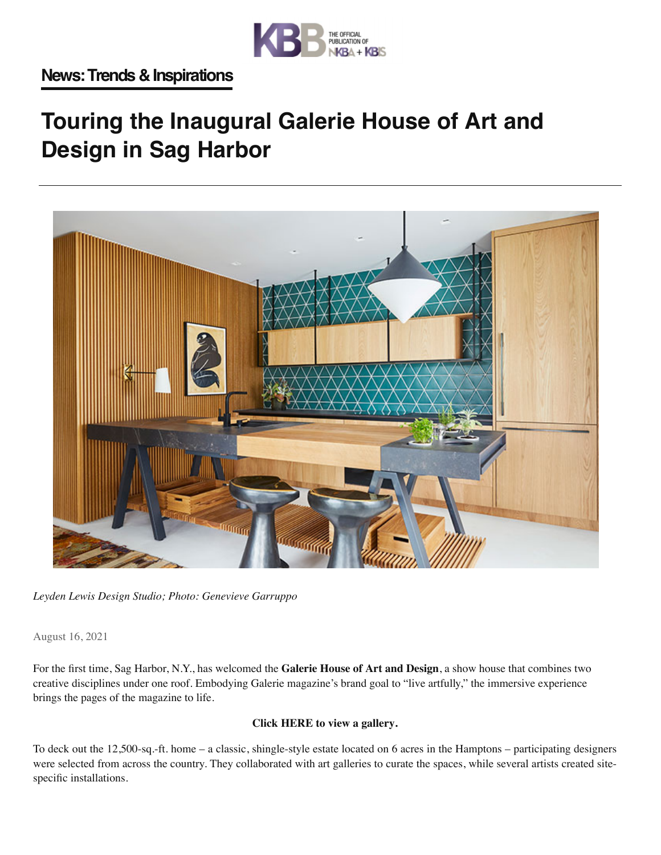

## **Touring the Inaugural Galerie House of Art and Design in Sag Harbor**



*Leyden Lewis Design Studio; Photo: Genevieve Garruppo*

August 16, 2021

For the first time, Sag Harbor, N.Y., has welcomed the **Galerie House of Art and Design**, a show house that combines two creative disciplines under one roof. Embodying Galerie magazine's brand goal to "live artfully," the immersive experience brings the pages of the magazine to life.

## **Click HERE to view a gallery.**

To deck out the 12,500-sq.-ft. home – a classic, shingle-style estate located on 6 acres in the Hamptons – participating designers were selected from across the country. They collaborated with art galleries to curate the spaces, while several artists created sitespecific installations.